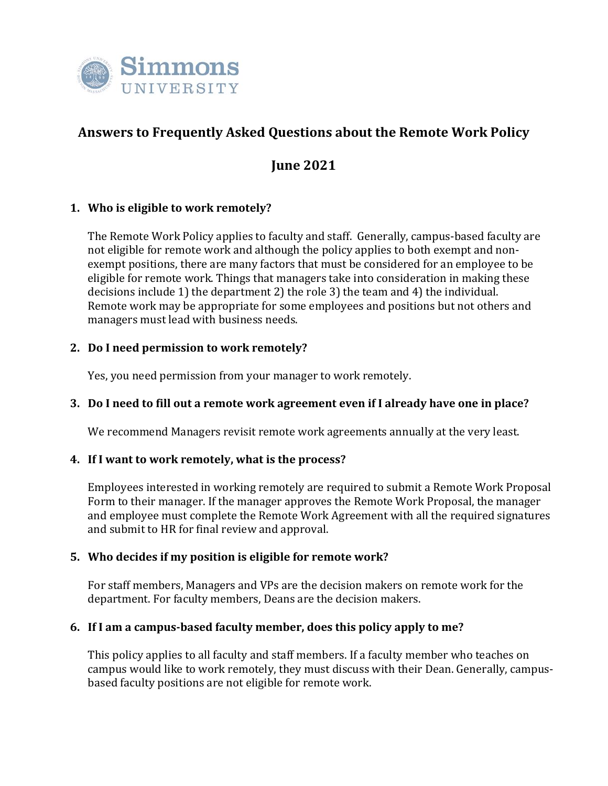

# **Answers to Frequently Asked Questions about the Remote Work Policy**

## **June 2021**

## **1. Who is eligible to work remotely?**

The Remote Work Policy applies to faculty and staff. Generally, campus-based faculty are not eligible for remote work and although the policy applies to both exempt and nonexempt positions, there are many factors that must be considered for an employee to be eligible for remote work. Things that managers take into consideration in making these decisions include 1) the department 2) the role 3) the team and 4) the individual. Remote work may be appropriate for some employees and positions but not others and managers must lead with business needs.

#### **2. Do I need permission to work remotely?**

Yes, you need permission from your manager to work remotely.

#### **3. Do I need to fill out a remote work agreement even if I already have one in place?**

We recommend Managers revisit remote work agreements annually at the very least.

#### **4. If I want to work remotely, what is the process?**

Employees interested in working remotely are required to submit a Remote Work Proposal Form to their manager. If the manager approves the Remote Work Proposal, the manager and employee must complete the Remote Work Agreement with all the required signatures and submit to HR for final review and approval.

#### **5. Who decides if my position is eligible for remote work?**

For staff members, Managers and VPs are the decision makers on remote work for the department. For faculty members, Deans are the decision makers.

#### **6. If I am a campus-based faculty member, does this policy apply to me?**

This policy applies to all faculty and staff members. If a faculty member who teaches on campus would like to work remotely, they must discuss with their Dean. Generally, campusbased faculty positions are not eligible for remote work.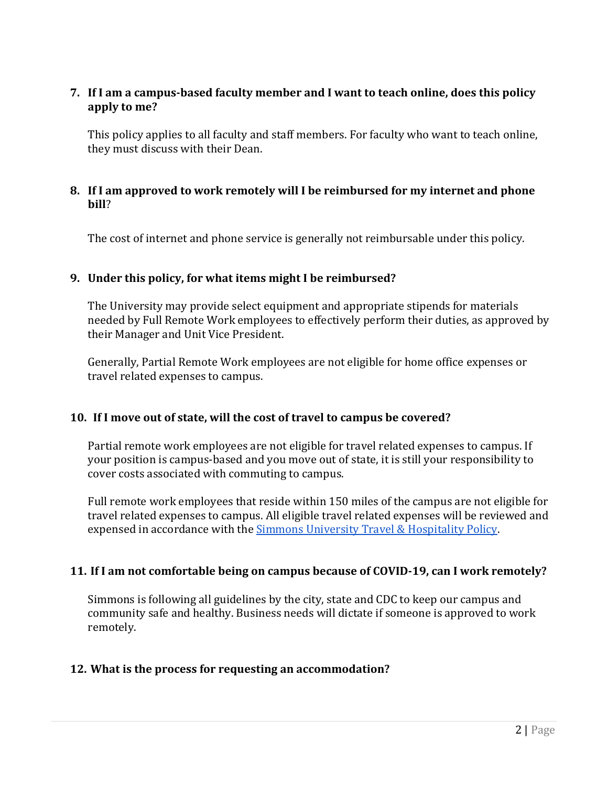## **7. If I am a campus-based faculty member and I want to teach online, does this policy apply to me?**

This policy applies to all faculty and staff members. For faculty who want to teach online, they must discuss with their Dean.

#### **8. If I am approved to work remotely will I be reimbursed for my internet and phone bill**?

The cost of internet and phone service is generally not reimbursable under this policy.

#### **9. Under this policy, for what items might I be reimbursed?**

The University may provide select equipment and appropriate stipends for materials needed by Full Remote Work employees to effectively perform their duties, as approved by their Manager and Unit Vice President.

Generally, Partial Remote Work employees are not eligible for home office expenses or travel related expenses to campus.

#### **10. If I move out of state, will the cost of travel to campus be covered?**

Partial remote work employees are not eligible for travel related expenses to campus. If your position is campus-based and you move out of state, it is still your responsibility to cover costs associated with commuting to campus.

Full remote work employees that reside within 150 miles of the campus are not eligible for travel related expenses to campus. All eligible travel related expenses will be reviewed and expensed in accordance with the [Simmons University Travel & Hospitality Policy.](https://internal.simmons.edu/wp-content/uploads/2019/07/Travel-and-Hospitality-Policy.pdf)

#### **11. If I am not comfortable being on campus because of COVID-19, can I work remotely?**

Simmons is following all guidelines by the city, state and CDC to keep our campus and community safe and healthy. Business needs will dictate if someone is approved to work remotely.

#### **12. What is the process for requesting an accommodation?**